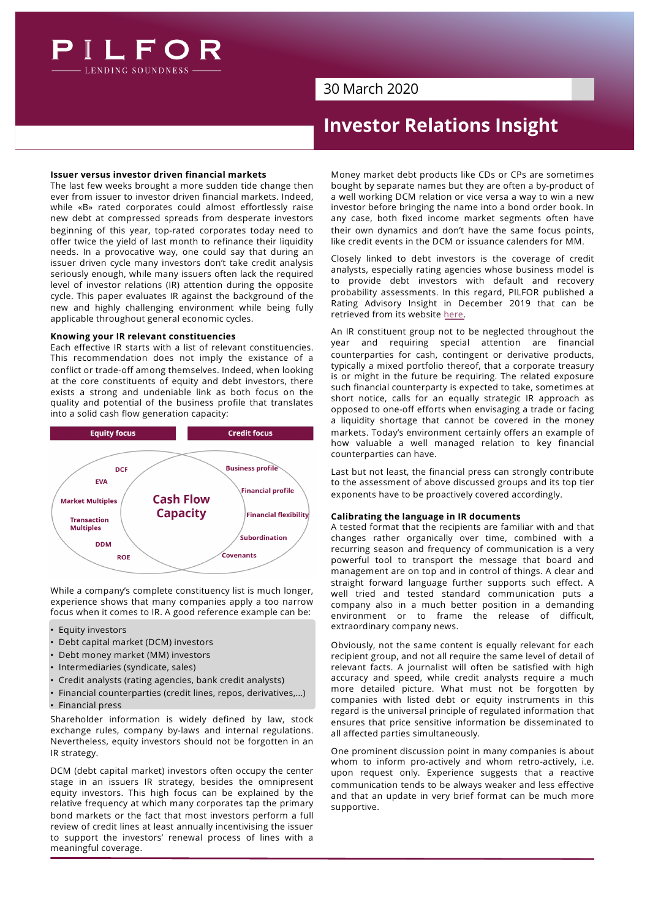

## 30 March 2020

# **Investor Relations Insight**

## **Issuer versus investor driven financial markets**

The last few weeks brought a more sudden tide change then ever from issuer to investor driven financial markets. Indeed, while «B» rated corporates could almost effortlessly raise new debt at compressed spreads from desperate investors beginning of this year, top-rated corporates today need to offer twice the yield of last month to refinance their liquidity needs. In a provocative way, one could say that during an issuer driven cycle many investors don't take credit analysis seriously enough, while many issuers often lack the required level of investor relations (IR) attention during the opposite cycle. This paper evaluates IR against the background of the new and highly challenging environment while being fully applicable throughout general economic cycles.

## **Knowing your IR relevant constituencies**

Each effective IR starts with a list of relevant constituencies. This recommendation does not imply the existance of a conflict or trade-off among themselves. Indeed, when looking at the core constituents of equity and debt investors, there exists a strong and undeniable link as both focus on the quality and potential of the business profile that translates into a solid cash flow generation capacity:



While a company's complete constituency list is much longer, experience shows that many companies apply a too narrow focus when it comes to IR. A good reference example can be:

- Equity investors
- Debt capital market (DCM) investors
- Debt money market (MM) investors
- Intermediaries (syndicate, sales)
- Credit analysts (rating agencies, bank credit analysts)
- Financial counterparties (credit lines, repos, derivatives,...)
- Financial press

Shareholder information is widely defined by law, stock exchange rules, company by-laws and internal regulations. Nevertheless, equity investors should not be forgotten in an IR strategy.

DCM (debt capital market) investors often occupy the center stage in an issuers IR strategy, besides the omnipresent equity investors. This high focus can be explained by the relative frequency at which many corporates tap the primary bond markets or the fact that most investors perform a full review of credit lines at least annually incentivising the issuer to support the investors' renewal process of lines with a meaningful coverage.

Money market debt products like CDs or CPs are sometimes bought by separate names but they are often a by-product of a well working DCM relation or vice versa a way to win a new investor before bringing the name into a bond order book. In any case, both fixed income market segments often have their own dynamics and don't have the same focus points, like credit events in the DCM or issuance calenders for MM.

Closely linked to debt investors is the coverage of credit analysts, especially rating agencies whose business model is to provide debt investors with default and recovery probability assessments. In this regard, PILFOR published a Rating Advisory Insight in December 2019 that can be retrieved from its web[site](https://files.designer.hoststar.ch/d5/f7/d5f7ee80-88ae-45c3-b968-600ce01c7e9a.pdf) here.

An IR constituent group not to be neglected throughout the year and requiring special attention are financial counterparties for cash, contingent or derivative products, typically a mixed portfolio thereof, that a corporate treasury is or might in the future be requiring. The related exposure such financial counterparty is expected to take, sometimes at short notice, calls for an equally strategic IR approach as opposed to one-off efforts when envisaging a trade or facing a liquidity shortage that cannot be covered in the money markets. Today's environment certainly offers an example of how valuable a well managed relation to key financial counterparties can have.

Last but not least, the financial press can strongly contribute to the assessment of above discussed groups and its top tier exponents have to be proactively covered accordingly.

## **Calibrating the language in IR documents**

A tested format that the recipients are familiar with and that changes rather organically over time, combined with a recurring season and frequency of communication is a very powerful tool to transport the message that board and management are on top and in control of things. A clear and straight forward language further supports such effect. A well tried and tested standard communication puts a company also in a much better position in a demanding environment or to frame the release of difficult, extraordinary company news.

Obviously, not the same content is equally relevant for each recipient group, and not all require the same level of detail of relevant facts. A journalist will often be satisfied with high accuracy and speed, while credit analysts require a much more detailed picture. What must not be forgotten by companies with listed debt or equity instruments in this regard is the universal principle of regulated information that ensures that price sensitive information be disseminated to all affected parties simultaneously.

One prominent discussion point in many companies is about whom to inform pro-actively and whom retro-actively, i.e. upon request only. Experience suggests that a reactive communication tends to be always weaker and less effective and that an update in very brief format can be much more supportive.